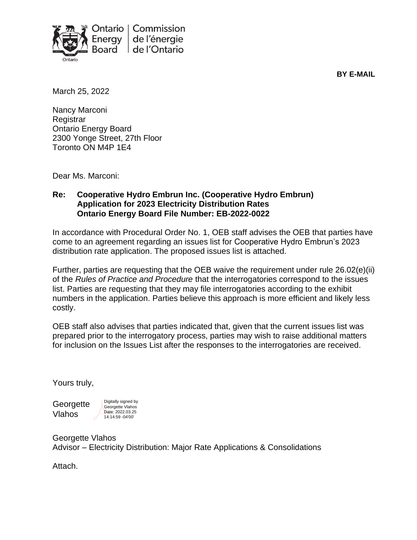

**BY E-MAIL**

March 25, 2022

Nancy Marconi **Registrar** Ontario Energy Board 2300 Yonge Street, 27th Floor Toronto ON M4P 1E4

Dear Ms. Marconi:

### **Re: Cooperative Hydro Embrun Inc. (Cooperative Hydro Embrun) Application for 2023 Electricity Distribution Rates Ontario Energy Board File Number: EB-2022-0022**

In accordance with Procedural Order No. 1, OEB staff advises the OEB that parties have come to an agreement regarding an issues list for Cooperative Hydro Embrun's 2023 distribution rate application. The proposed issues list is attached.

Further, parties are requesting that the OEB waive the requirement under rule 26.02(e)(ii) of the *Rules of Practice and Procedure* that the interrogatories correspond to the issues list. Parties are requesting that they may file interrogatories according to the exhibit numbers in the application. Parties believe this approach is more efficient and likely less costly.

OEB staff also advises that parties indicated that, given that the current issues list was prepared prior to the interrogatory process, parties may wish to raise additional matters for inclusion on the Issues List after the responses to the interrogatories are received.

Yours truly,

**Georgette** Vlahos

Digitally signed by Georgette Vlahos Date: 2022.03.25 14:14:59 -04'00'

Georgette Vlahos Advisor – Electricity Distribution: Major Rate Applications & Consolidations

Attach.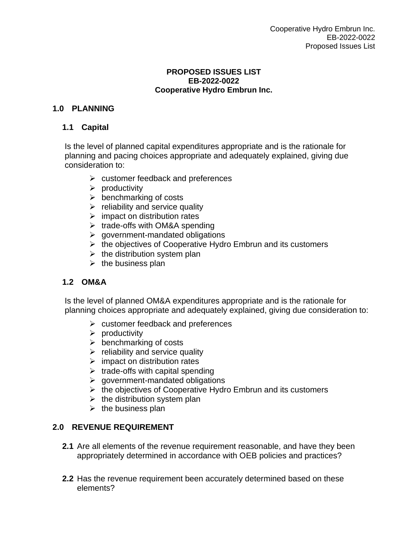#### **PROPOSED ISSUES LIST EB-2022-0022 Cooperative Hydro Embrun Inc.**

# **1.0 PLANNING**

### **1.1 Capital**

Is the level of planned capital expenditures appropriate and is the rationale for planning and pacing choices appropriate and adequately explained, giving due consideration to:

- $\triangleright$  customer feedback and preferences
- $\triangleright$  productivity
- $\triangleright$  benchmarking of costs
- $\triangleright$  reliability and service quality
- $\triangleright$  impact on distribution rates
- $\triangleright$  trade-offs with OM&A spending
- $\triangleright$  government-mandated obligations
- ➢ the objectives of Cooperative Hydro Embrun and its customers
- $\triangleright$  the distribution system plan
- $\triangleright$  the business plan

# **1.2 OM&A**

Is the level of planned OM&A expenditures appropriate and is the rationale for planning choices appropriate and adequately explained, giving due consideration to:

- $\triangleright$  customer feedback and preferences
- $\triangleright$  productivity
- $\triangleright$  benchmarking of costs
- $\triangleright$  reliability and service quality
- $\triangleright$  impact on distribution rates
- $\triangleright$  trade-offs with capital spending
- $\triangleright$  government-mandated obligations
- $\triangleright$  the objectives of Cooperative Hydro Embrun and its customers
- $\triangleright$  the distribution system plan
- $\triangleright$  the business plan

# **2.0 REVENUE REQUIREMENT**

- **2.1** Are all elements of the revenue requirement reasonable, and have they been appropriately determined in accordance with OEB policies and practices?
- **2.2** Has the revenue requirement been accurately determined based on these elements?